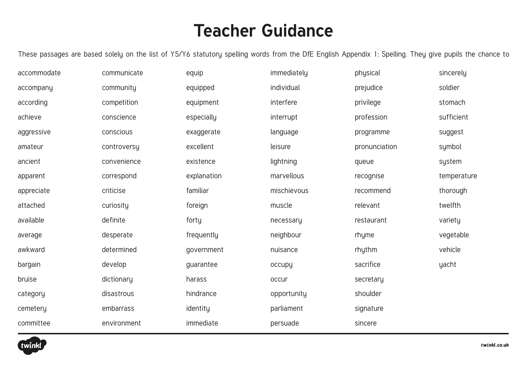## **Teacher Guidance**

These passages are based solely on the list of Y5/Y6 statutory spelling words from the DfE English Appendix 1: Spelling. They give pupils the chance to

| accommodate | communicate |
|-------------|-------------|
| accompany   | community   |
| according   | competition |
| achieve     | conscience  |
| aggressive  | conscious   |
| amateur     | controversy |
| ancient     | convenience |
| apparent    | correspond  |
| appreciate  | criticise   |
| attached    | curiosity   |
| available   | definite    |
| average     | desperate   |
| awkward     | determined  |
| bargain     | develop     |
| bruise      | dictionary  |
| category    | disastrous  |
| cemetery    | embarrass   |
| committee   | environment |

equip equipped equipment especially exaggerate excellent existence explanation familiar foreign forty frequently government guarantee harass hindrance identity immediate

immediately individual interfere interrupt language leisure lightning marvellous mischievous muscle necessary neighbour nuisance occupy occur opportunity parliament persuade

physical prejudice privilege profession programme pronunciation queue recognise recommend relevant restaurant rhyme rhythm sacrifice secretary shoulder signature sincere

sincerely soldier stomach sufficient suggest symbol system temperature thorough twelfth varietu vegetable vehicle yacht